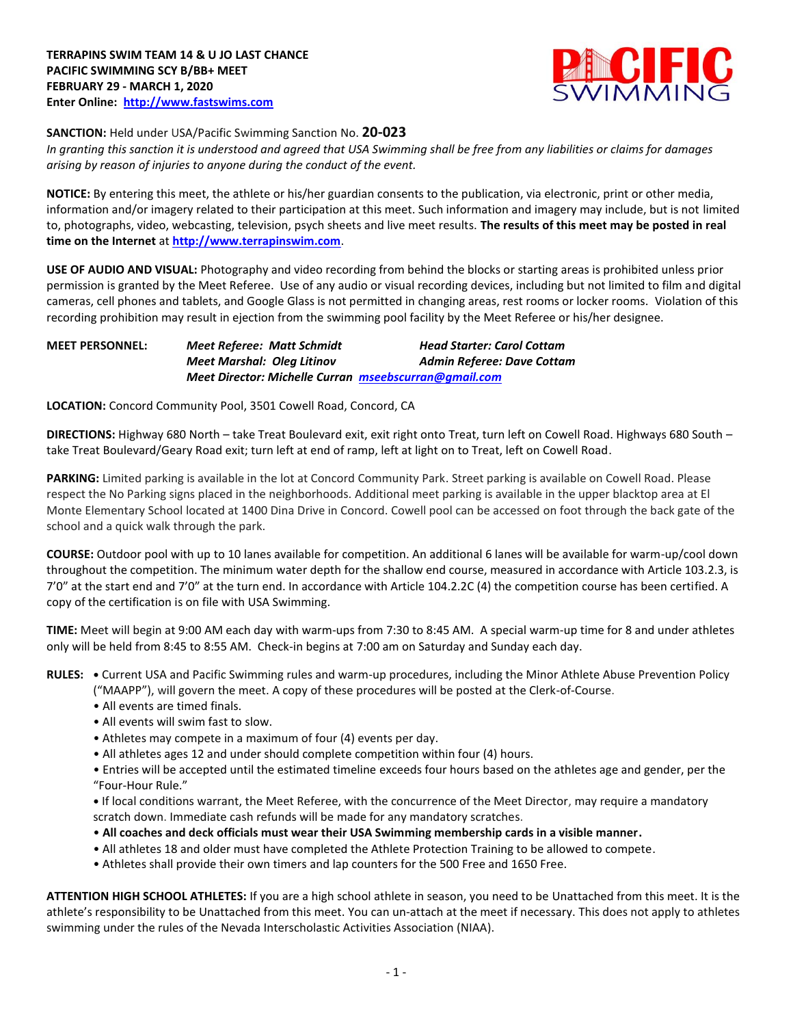

**SANCTION:** Held under USA/Pacific Swimming Sanction No. **20-023**

*In granting this sanction it is understood and agreed that USA Swimming shall be free from any liabilities or claims for damages arising by reason of injuries to anyone during the conduct of the event.* 

**NOTICE:** By entering this meet, the athlete or his/her guardian consents to the publication, via electronic, print or other media, information and/or imagery related to their participation at this meet. Such information and imagery may include, but is not limited to, photographs, video, webcasting, television, psych sheets and live meet results. **The results of this meet may be posted in real time on the Internet** at **[http://www.terrapinswim.com](http://www.terrapinswim.com/)**.

**USE OF AUDIO AND VISUAL:** Photography and video recording from behind the blocks or starting areas is prohibited unless prior permission is granted by the Meet Referee. Use of any audio or visual recording devices, including but not limited to film and digital cameras, cell phones and tablets, and Google Glass is not permitted in changing areas, rest rooms or locker rooms. Violation of this recording prohibition may result in ejection from the swimming pool facility by the Meet Referee or his/her designee.

## **MEET PERSONNEL:** *Meet Referee: Matt Schmidt Head Starter: Carol Cottam Meet Marshal: Oleg Litinov Admin Referee: Dave Cottam Meet Director: Michelle Curran [mseebscurran@gmail.com](mailto:mseebscurran@gmail.com)*

**LOCATION:** Concord Community Pool, 3501 Cowell Road, Concord, CA

**DIRECTIONS:** Highway 680 North – take Treat Boulevard exit, exit right onto Treat, turn left on Cowell Road. Highways 680 South – take Treat Boulevard/Geary Road exit; turn left at end of ramp, left at light on to Treat, left on Cowell Road.

**PARKING:** Limited parking is available in the lot at Concord Community Park. Street parking is available on Cowell Road. Please respect the No Parking signs placed in the neighborhoods. Additional meet parking is available in the upper blacktop area at El Monte Elementary School located at 1400 Dina Drive in Concord. Cowell pool can be accessed on foot through the back gate of the school and a quick walk through the park.

**COURSE:** Outdoor pool with up to 10 lanes available for competition. An additional 6 lanes will be available for warm-up/cool down throughout the competition. The minimum water depth for the shallow end course, measured in accordance with Article 103.2.3, is 7'0" at the start end and 7'0" at the turn end. In accordance with Article 104.2.2C (4) the competition course has been certified. A copy of the certification is on file with USA Swimming.

**TIME:** Meet will begin at 9:00 AM each day with warm-ups from 7:30 to 8:45 AM. A special warm-up time for 8 and under athletes only will be held from 8:45 to 8:55 AM. Check-in begins at 7:00 am on Saturday and Sunday each day.

**RULES: •** Current USA and Pacific Swimming rules and warm-up procedures, including the Minor Athlete Abuse Prevention Policy ("MAAPP"), will govern the meet. A copy of these procedures will be posted at the Clerk-of-Course.

- All events are timed finals.
- All events will swim fast to slow.
- Athletes may compete in a maximum of four (4) events per day.
- All athletes ages 12 and under should complete competition within four (4) hours.

• Entries will be accepted until the estimated timeline exceeds four hours based on the athletes age and gender, per the "Four-Hour Rule."

**•** If local conditions warrant, the Meet Referee, with the concurrence of the Meet Director, may require a mandatory scratch down. Immediate cash refunds will be made for any mandatory scratches.

- **All coaches and deck officials must wear their USA Swimming membership cards in a visible manner.**
- All athletes 18 and older must have completed the Athlete Protection Training to be allowed to compete.
- Athletes shall provide their own timers and lap counters for the 500 Free and 1650 Free.

**ATTENTION HIGH SCHOOL ATHLETES:** If you are a high school athlete in season, you need to be Unattached from this meet. It is the athlete's responsibility to be Unattached from this meet. You can un-attach at the meet if necessary. This does not apply to athletes swimming under the rules of the Nevada Interscholastic Activities Association (NIAA).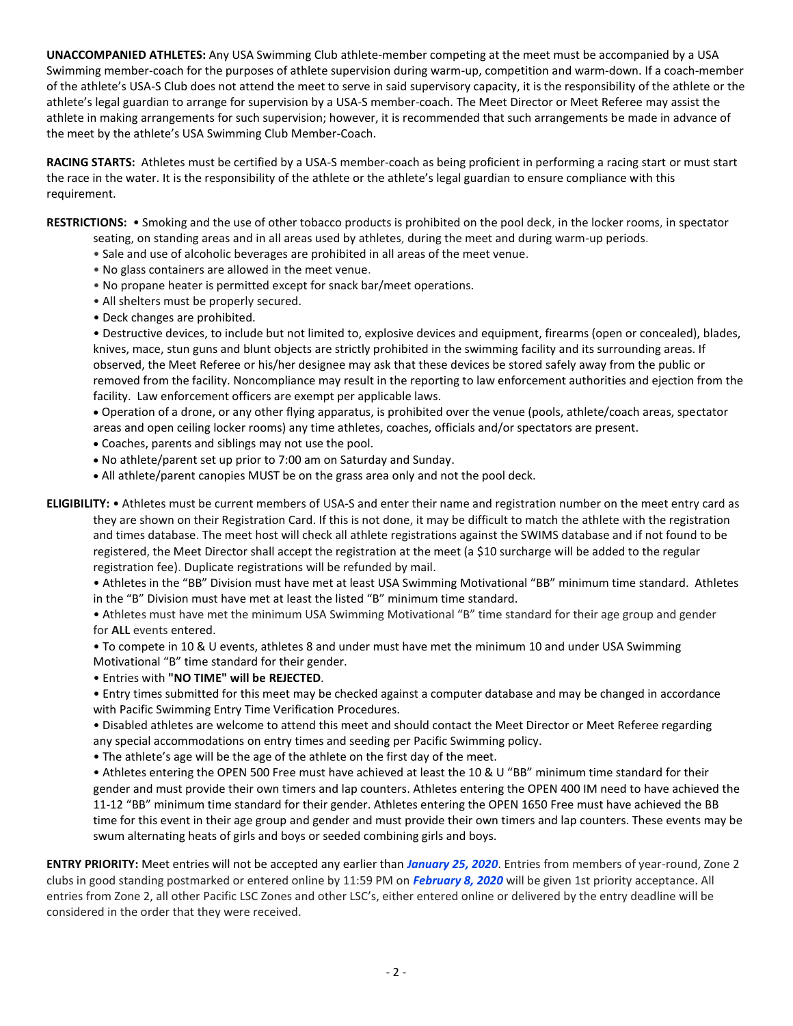**UNACCOMPANIED ATHLETES:** Any USA Swimming Club athlete-member competing at the meet must be accompanied by a USA Swimming member-coach for the purposes of athlete supervision during warm-up, competition and warm-down. If a coach-member of the athlete's USA-S Club does not attend the meet to serve in said supervisory capacity, it is the responsibility of the athlete or the athlete's legal guardian to arrange for supervision by a USA-S member-coach. The Meet Director or Meet Referee may assist the athlete in making arrangements for such supervision; however, it is recommended that such arrangements be made in advance of the meet by the athlete's USA Swimming Club Member-Coach.

**RACING STARTS:** Athletes must be certified by a USA-S member-coach as being proficient in performing a racing start or must start the race in the water. It is the responsibility of the athlete or the athlete's legal guardian to ensure compliance with this requirement.

**RESTRICTIONS:** • Smoking and the use of other tobacco products is prohibited on the pool deck, in the locker rooms, in spectator seating, on standing areas and in all areas used by athletes, during the meet and during warm-up periods.

- Sale and use of alcoholic beverages are prohibited in all areas of the meet venue.
- No glass containers are allowed in the meet venue.
- No propane heater is permitted except for snack bar/meet operations.
- All shelters must be properly secured.
- Deck changes are prohibited.

• Destructive devices, to include but not limited to, explosive devices and equipment, firearms (open or concealed), blades, knives, mace, stun guns and blunt objects are strictly prohibited in the swimming facility and its surrounding areas. If observed, the Meet Referee or his/her designee may ask that these devices be stored safely away from the public or removed from the facility. Noncompliance may result in the reporting to law enforcement authorities and ejection from the facility. Law enforcement officers are exempt per applicable laws.

 Operation of a drone, or any other flying apparatus, is prohibited over the venue (pools, athlete/coach areas, spectator areas and open ceiling locker rooms) any time athletes, coaches, officials and/or spectators are present.

- Coaches, parents and siblings may not use the pool.
- No athlete/parent set up prior to 7:00 am on Saturday and Sunday.
- All athlete/parent canopies MUST be on the grass area only and not the pool deck.

**ELIGIBILITY:** • Athletes must be current members of USA-S and enter their name and registration number on the meet entry card as they are shown on their Registration Card. If this is not done, it may be difficult to match the athlete with the registration and times database. The meet host will check all athlete registrations against the SWIMS database and if not found to be registered, the Meet Director shall accept the registration at the meet (a \$10 surcharge will be added to the regular registration fee). Duplicate registrations will be refunded by mail.

• Athletes in the "BB" Division must have met at least USA Swimming Motivational "BB" minimum time standard. Athletes in the "B" Division must have met at least the listed "B" minimum time standard.

• Athletes must have met the minimum USA Swimming Motivational "B" time standard for their age group and gender for **ALL** events entered.

• To compete in 10 & U events, athletes 8 and under must have met the minimum 10 and under USA Swimming Motivational "B" time standard for their gender.

• Entries with **"NO TIME" will be REJECTED**.

• Entry times submitted for this meet may be checked against a computer database and may be changed in accordance with Pacific Swimming Entry Time Verification Procedures.

• Disabled athletes are welcome to attend this meet and should contact the Meet Director or Meet Referee regarding any special accommodations on entry times and seeding per Pacific Swimming policy.

• The athlete's age will be the age of the athlete on the first day of the meet.

• Athletes entering the OPEN 500 Free must have achieved at least the 10 & U "BB" minimum time standard for their gender and must provide their own timers and lap counters. Athletes entering the OPEN 400 IM need to have achieved the 11-12 "BB" minimum time standard for their gender. Athletes entering the OPEN 1650 Free must have achieved the BB time for this event in their age group and gender and must provide their own timers and lap counters. These events may be swum alternating heats of girls and boys or seeded combining girls and boys.

**ENTRY PRIORITY:** Meet entries will not be accepted any earlier than *January 25, 2020*. Entries from members of year-round, Zone 2 clubs in good standing postmarked or entered online by 11:59 PM on *February 8, 2020* will be given 1st priority acceptance. All entries from Zone 2, all other Pacific LSC Zones and other LSC's, either entered online or delivered by the entry deadline will be considered in the order that they were received.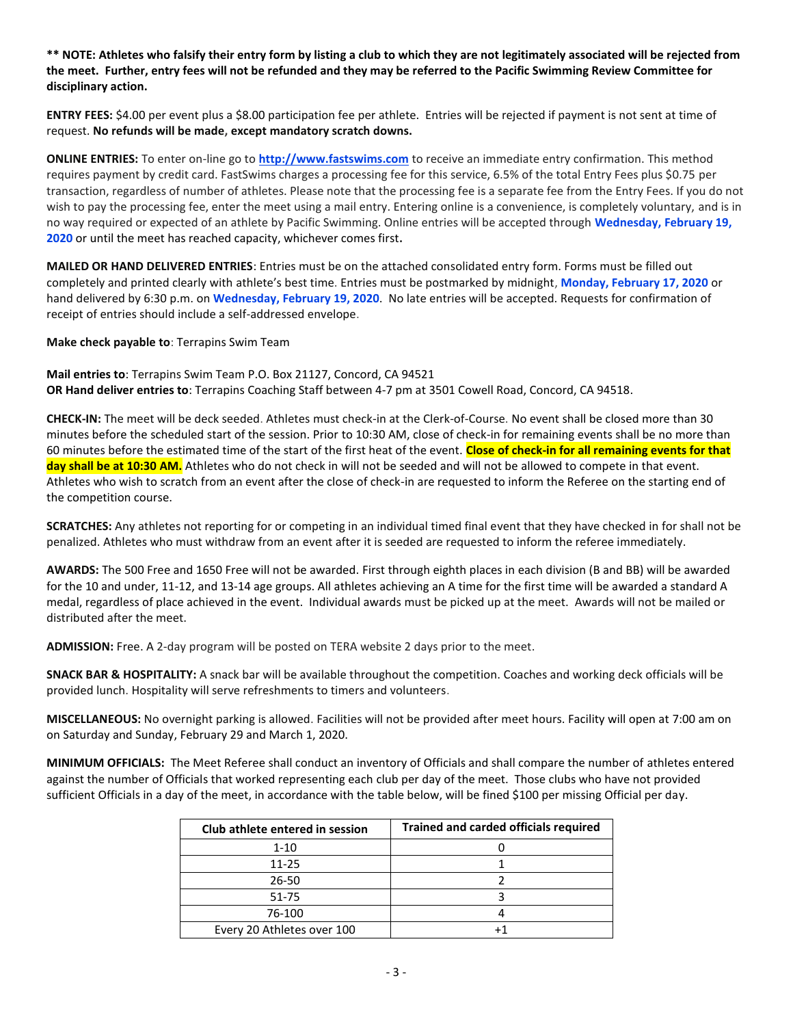**\*\* NOTE: Athletes who falsify their entry form by listing a club to which they are not legitimately associated will be rejected from the meet. Further, entry fees will not be refunded and they may be referred to the Pacific Swimming Review Committee for disciplinary action.**

**ENTRY FEES:** \$4.00 per event plus a \$8.00 participation fee per athlete. Entries will be rejected if payment is not sent at time of request. **No refunds will be made, except mandatory scratch downs.**

**ONLINE ENTRIES:** To enter on-line go to **[http://www.fastswims.com](http://www.fastswims.com/)** to receive an immediate entry confirmation. This method requires payment by credit card. FastSwims charges a processing fee for this service, 6.5% of the total Entry Fees plus \$0.75 per transaction, regardless of number of athletes. Please note that the processing fee is a separate fee from the Entry Fees. If you do not wish to pay the processing fee, enter the meet using a mail entry. Entering online is a convenience, is completely voluntary, and is in no way required or expected of an athlete by Pacific Swimming. Online entries will be accepted through **Wednesday, February 19, 2020** or until the meet has reached capacity, whichever comes first**.**

**MAILED OR HAND DELIVERED ENTRIES**: Entries must be on the attached consolidated entry form. Forms must be filled out completely and printed clearly with athlete's best time. Entries must be postmarked by midnight, **Monday, February 17, 2020** or hand delivered by 6:30 p.m. on **Wednesday, February 19, 2020**. No late entries will be accepted. Requests for confirmation of receipt of entries should include a self-addressed envelope.

**Make check payable to**: Terrapins Swim Team

**Mail entries to**: Terrapins Swim Team P.O. Box 21127, Concord, CA 94521 **OR Hand deliver entries to**: Terrapins Coaching Staff between 4-7 pm at 3501 Cowell Road, Concord, CA 94518.

**CHECK-IN:** The meet will be deck seeded. Athletes must check-in at the Clerk-of-Course. No event shall be closed more than 30 minutes before the scheduled start of the session. Prior to 10:30 AM, close of check-in for remaining events shall be no more than 60 minutes before the estimated time of the start of the first heat of the event. **Close of check-in for all remaining events for that day shall be at 10:30 AM.** Athletes who do not check in will not be seeded and will not be allowed to compete in that event. Athletes who wish to scratch from an event after the close of check-in are requested to inform the Referee on the starting end of the competition course.

**SCRATCHES:** Any athletes not reporting for or competing in an individual timed final event that they have checked in for shall not be penalized. Athletes who must withdraw from an event after it is seeded are requested to inform the referee immediately.

**AWARDS:** The 500 Free and 1650 Free will not be awarded. First through eighth places in each division (B and BB) will be awarded for the 10 and under, 11-12, and 13-14 age groups. All athletes achieving an A time for the first time will be awarded a standard A medal, regardless of place achieved in the event. Individual awards must be picked up at the meet. Awards will not be mailed or distributed after the meet.

**ADMISSION:** Free. A 2-day program will be posted on TERA website 2 days prior to the meet.

**SNACK BAR & HOSPITALITY:** A snack bar will be available throughout the competition. Coaches and working deck officials will be provided lunch. Hospitality will serve refreshments to timers and volunteers.

**MISCELLANEOUS:** No overnight parking is allowed. Facilities will not be provided after meet hours. Facility will open at 7:00 am on on Saturday and Sunday, February 29 and March 1, 2020.

**MINIMUM OFFICIALS:** The Meet Referee shall conduct an inventory of Officials and shall compare the number of athletes entered against the number of Officials that worked representing each club per day of the meet. Those clubs who have not provided sufficient Officials in a day of the meet, in accordance with the table below, will be fined \$100 per missing Official per day.

| Club athlete entered in session | <b>Trained and carded officials required</b> |
|---------------------------------|----------------------------------------------|
| $1 - 10$                        |                                              |
| $11 - 25$                       |                                              |
| 26-50                           |                                              |
| 51-75                           |                                              |
| 76-100                          |                                              |
| Every 20 Athletes over 100      |                                              |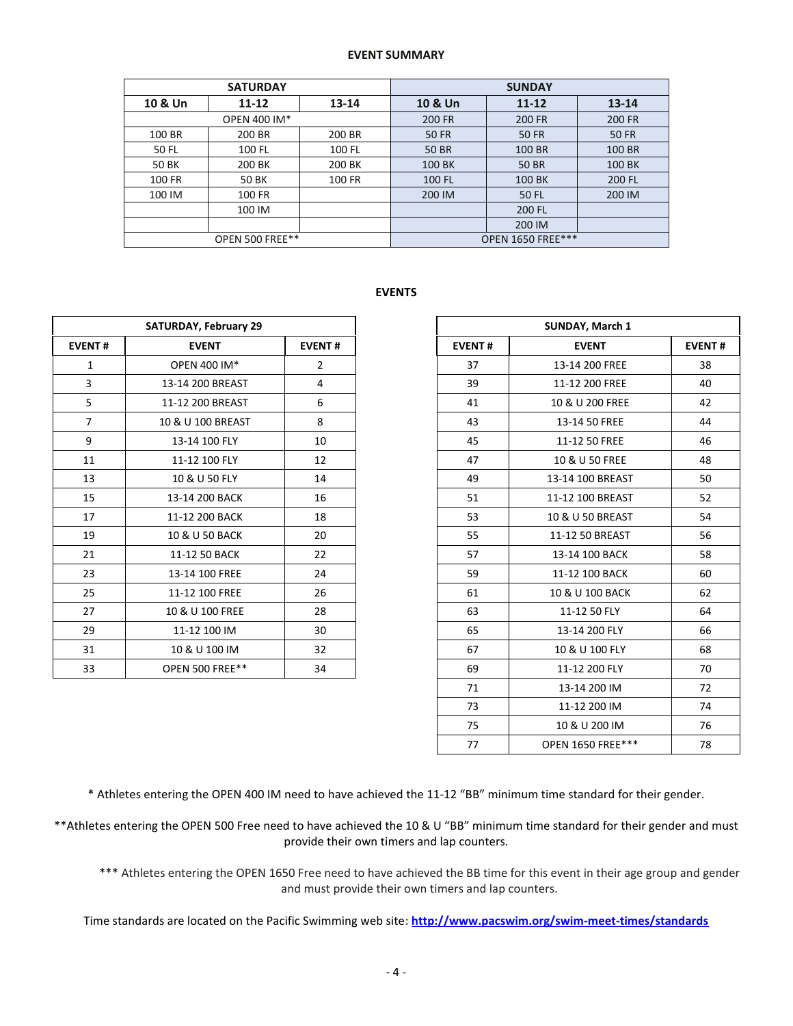## **EVENT SUMMARY**

|         | <b>SATURDAY</b>        |        | <b>SUNDAY</b>            |              |               |  |  |  |
|---------|------------------------|--------|--------------------------|--------------|---------------|--|--|--|
| 10 & Un | $11 - 12$<br>$13 - 14$ |        | 10 & Un                  | $11 - 12$    | $13 - 14$     |  |  |  |
|         | <b>OPEN 400 IM*</b>    |        | 200 FR                   | 200 FR       | <b>200 FR</b> |  |  |  |
| 100 BR  | 200 BR                 | 200 BR | <b>50 FR</b>             | 50 FR        | <b>50 FR</b>  |  |  |  |
| 50 FL   | 100 FL                 | 100 FL | 50 BR                    | 100 BR       | 100 BR        |  |  |  |
| 50 BK   | 200 BK                 | 200 BK | 100 BK                   | <b>50 BR</b> | 100 BK        |  |  |  |
| 100 FR  | 50 BK                  | 100 FR | 100 FL                   | 100 BK       | 200 FL        |  |  |  |
| 100 IM  | 100 FR                 |        | 200 IM                   | 50 FL        | 200 IM        |  |  |  |
|         | 100 IM                 |        |                          | 200 FL       |               |  |  |  |
|         |                        |        |                          | 200 IM       |               |  |  |  |
|         | OPEN 500 FREE**        |        | <b>OPEN 1650 FREE***</b> |              |               |  |  |  |

## **EVENTS**

|                | <b>SATURDAY, February 29</b> |                |
|----------------|------------------------------|----------------|
| <b>EVENT#</b>  | <b>EVENT</b>                 | <b>EVENT#</b>  |
| $\mathbf{1}$   | OPEN 400 IM*                 | $\overline{2}$ |
| 3              | 13-14 200 BREAST             | 4              |
| 5              | 11-12 200 BREAST             | 6              |
| $\overline{7}$ | 10 & U 100 BREAST            | 8              |
| 9              | 13-14 100 FLY                | 10             |
| 11             | 11-12 100 FLY                | 12             |
| 13             | 10 & U 50 FLY                | 14             |
| 15             | 13-14 200 BACK               | 16             |
| 17             | 11-12 200 BACK               | 18             |
| 19             | 10 & U 50 BACK               | 20             |
| 21             | 11-12 50 BACK                | 22             |
| 23             | 13-14 100 FREE               | 24             |
| 25             | 11-12 100 FREE               | 26             |
| 27             | 10 & U 100 FREE              | 28             |
| 29             | 11-12 100 IM                 | 30             |
| 31             | 10 & U 100 IM                | 32             |
| 33             | <b>OPEN 500 FREE**</b>       | 34             |
|                |                              |                |
|                |                              |                |
|                |                              |                |
|                |                              |                |

|                | <b>SATURDAY, February 29</b> |                |  |  |
|----------------|------------------------------|----------------|--|--|
| <b>EVENT#</b>  | <b>EVENT</b>                 | <b>EVENT#</b>  |  |  |
| $\mathbf{1}$   | OPEN 400 IM*                 | $\overline{2}$ |  |  |
| $\overline{3}$ | 13-14 200 BREAST             | 4              |  |  |
| 5              | 11-12 200 BREAST             | 6              |  |  |
| $\overline{7}$ | 10 & U 100 BREAST            | 8              |  |  |
| 9              | 13-14 100 FLY                | 10             |  |  |
| 11             | 11-12 100 FLY                | 12             |  |  |
| 13             | 10 & U 50 FLY                | 14             |  |  |
| 15             | 13-14 200 BACK               | 16             |  |  |
| 17             | 11-12 200 BACK               | 18             |  |  |
| 19             | 10 & U 50 BACK               | 20             |  |  |
| 21             | 11-12 50 BACK                | 22             |  |  |
| 23             | 13-14 100 FREE               | 24             |  |  |
| 25             | 11-12 100 FREE               | 26             |  |  |
| 27             | 10 & U 100 FREE              | 28             |  |  |
| 29             | 11-12 100 IM                 | 30             |  |  |
| 31             | 10 & U 100 IM                | 32             |  |  |
| 33             | <b>OPEN 500 FREE**</b>       | 34             |  |  |

\* Athletes entering the OPEN 400 IM need to have achieved the 11-12 "BB" minimum time standard for their gender.

\*\*Athletes entering the OPEN 500 Free need to have achieved the 10 & U "BB" minimum time standard for their gender and must provide their own timers and lap counters.

\*\*\* Athletes entering the OPEN 1650 Free need to have achieved the BB time for this event in their age group and gender and must provide their own timers and lap counters.

Time standards are located on the Pacific Swimming web site: **<http://www.pacswim.org/swim-meet-times/standards>**